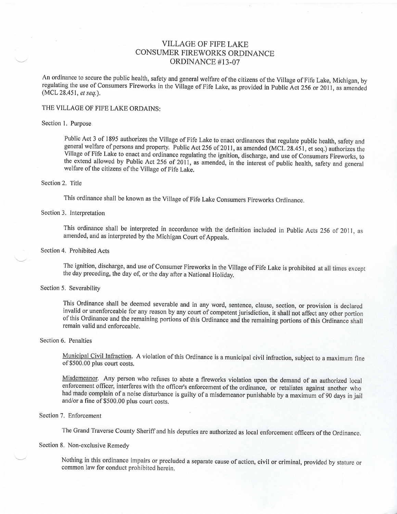# VILLAGE OF FIFE LAKE CONSUMER FIREWORKS ORDINANCE ORDINANCE #13-07

An ordinance to secure the public health, safefy and general welfare of the citizens of the Village of Fife Lake, Michigan, by regulating the use of Consumers Fireworks in the Village of Fife Lake, as provided in Public Act 256 or 2011, as amended (MCL 28.451, et seq.).

# THE VILLAGE OF FIFE LAKE ORDAINS:

#### Section 1. Purpose

Public Act 3 of 1895 authorizes the Village of Fife Lake to enact ordinances that regulate public health, safety and general welfare of persons and property. Public Act 256 of 2011, as amended (MCL 28.451, et seq.) authorizes the Village of Fife Lake to enact and ordinance regulating the ignition, discharge, and use of Consumers Fireworks, to the extend allowed by Public Act 256 of 2011, as amended, in the interest of public health, safety and general welfare of the citizens of the Village of Fife Lake.

### Section 2, Title

This ordinance shall be known as the Village of Fife Lake Consumers Fireworks ordinance,

#### Section 3. Interpretation

This ordinance shall be interpreted in accordance with the definition included in public Acts256 of 2011, as amended, and as interpreted by the Michigan Court of Appeals.

# Section 4. Prohibited Acts

The ignition, discharge, and use of Consumer Fireworks in the Village of Fife Lake is prohibited at all times excepr the day preceding, the day of, or the day after a National Holiday.

#### Section 5, Severability

This Ordinance shall be deemed severable and in any word, sentence, clause, section, or provision is declared invalid or unenforceable for any reason by any court of competent jurisdiction, it shall not affect any other portion of this Ordinance and the remaining portions of this Ordinance and the remaining portions of this Ordinance shall remain valid and enforceable.

#### Section 6. Penalties

Municipal Civil Infraction. A violation of this Ordinance is a municipal civil infraction, subject to a maximum fine of \$500,00 plus court costs.

Misdemeanor. Any person who refuses to abate a freworks violation upon the demand of an authorized local enforcement officer, interferes with the officer's enforcement of the ordinance, or retaliates against another who had made complain of a noise disturbance is guilty of a misdemeanor punishable by a maximum of 90 days in jail and/or a fine of \$500.00 plus court costs.

# Section 7. Enforcement

The Grand Traverse County Sheriff and his deputies are authorized as local enforcement officers of the Ordinance .

### Section 8. Non-exclusive Remedy

Nothing in this ordinance impairs or precluded a separate cause of action, civil or criminal, provided by stature or common law for conduct prohibited herein.